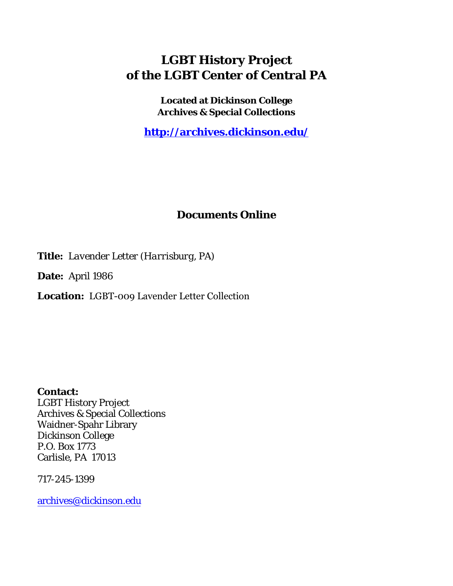## **LGBT History Project of the LGBT Center of Central PA**

**Located at Dickinson College Archives & Special Collections**

**<http://archives.dickinson.edu/>**

## **Documents Online**

**Title:** *Lavender Letter (Harrisburg, PA)*

**Date:** April 1986

**Location:** LGBT-009 Lavender Letter Collection

**Contact:**  LGBT History Project Archives & Special Collections Waidner-Spahr Library Dickinson College P.O. Box 1773 Carlisle, PA 17013

717-245-1399

[archives@dickinson.edu](mailto:archives@dickinson.edu)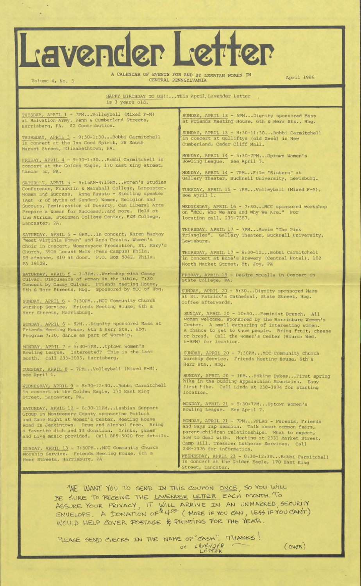## Vender Le

A CALENDAR OF EVENTS FOR AND BY LESBIAN WOMEN IN April 1986 Volume 4, No. 3 CENTRAL PENNSYLVANIA P

HAPPY BIRTHDAY TO US! !... This April, Lavender Letter is 3 years old.

TUESDAY, APRIL 1 - 7PM...Volleyball (Mixed F-M) at Salvation Army, Penn & Cumberland Streets, Harrisburg, PA. \$2 Contribution.

THURSDAY, APRIL 3 - 9:30-1:30-- Bobbi Carmitchell in concert at the Inn Good Spirit, 28 South Market Street, Elizabethtown, PA.

.FRIDAY, APRIL 4 - 9:30-1:30...Bobbi Carmitchell in concert at the Golden Eagle, 170 East King Street, Lancar" ar, PA.

SATURDAY, APRIL 5 - 9:15AM-4:15PM... Women's Studies Conference, Franklin & Marshall College, Lancaster. Women and Success. Anne Fausto - Sterling speaker (Aut >r of Myths of Gender) Women, Religion and Success, Feminization of Poverty, Can Liberal Arts<br>Prepare a Woman for Success?..and more. Held at Prepare a Woman for Success?..and more. the Atrium, Steinman College Center, F&M College, Lancaster, PA.

SATURDAY, APRIL 5 - 8PM...In concert, Karen Mackay "West Virginia Woman" and Anna Crusis, Women's Choir in concert, Womanspace Production, St. Mary's Church, 3916 Locust Walk (Penn Campus) Phila. \$8 advance, \$10 at door. P.O. Box 5842, Phila. PA 19128.

SATURDAY, APRIL 5 - 1-3PM...Workshop with Cassy Culvar, Discussion of Woman in the Bible, 7:30 Concert by Cassy Culvar. Friends Meeting House, 6th & Herr Streets, Hbg. Sponsored by MCC of Hbg.

SUNDAY, APRIL 6 - 7:30PM\_\_ MCC Community Church Worshop Service. Friends Meeting House, 6th & Herr Streets, Harrisburg.

SUNDAY, APRIL 6 - 5PM...Dignity sponsored Mass at Friends Meeting House, 6th & Herr Sts., Hbg. Program 7:30, dance as part of Worship.

MONDAY, APRIL 7 - 5:30-7PM\_\_ Uptown Women's Bowling League. Interested? This is the last month. Call 233-3035, Harrisburg.

TUESDAY, APRIL 8 - 7PM...Volleyball (Mixed F-M), see April 1.

WEDNESDAY, APRIL 9 - 8:30-12:30\_\_ Bobbi Carmitchell in concert at the Golden Eagle, 170 East King Street, Lancaster, PA.

SATURDAY, APRIL 12 - 6:30-11PM... Lesbian Support Group in Montgomery County sponsoring Potluck and Game Night at Women's Center, Meeting House Road in Jenkintown. Drug and alcohol free. Bring a favorite dish and \$3 donation. Drinks, games' and Live music provided. Call 885-5020 for details.

SUNDAY, APRIL 13 - 7:30PM...MCC Community Church Worship Service. Friends Meeting House, 6th & Herr Streets, Harrisburg, PA

SUNDAY, APRIL 13 - 5PM...Dignity sponsored Mass Friends Meeting House, 6th & Herr Sts., Hbg.

SUNDAY, APRIL 13 - 8:30-11:30...Bobbi Carmitchell in concert at Gulliftys (old Zees) in New Cumberland, Cedar Cliff Mall.

MONDAY, APRIL 14 - 5:30-7PM...Uptown Women's Bowling League. See April 7.

MONDAY, APRIL 14 - 7PM...Film "Sisters" at Gallery Theater, Bucknell University, Lewisburg.

TUESDAY, APRIL 15 - 7PM...Volleyball (Mixed F-M), see April 1.

WEDNESDAY, APRIL 16 - 7:30...MCC sponsored workshop on "MCC, Who We Are and Why We Are." For location call, 236-7387.

THURSDAY, APRIL 17 - 7PM...Movie "The Pink Triangles". Gallery Theater, Bucknell University, Lewisburg.

THURSDAY, APRIL 17 - 8:30-12...Bobbi Carmitchell in concert at Bube's Brewery (Central Hotel), 102 North Market Street, Mt. Joy, PA

FRIDAY, APRIL 18 - Deidre McCalla in Concert in State College, PA.

SUNDAY, APRIL 20 - 5:30...Dignity sponsored Mass at St. Patrick's Cathedral, State Street, Hbg. Coffee afterwards.

SUNDAY, APRIL 20 - 10:30...Feminist Brunch. All women welcome, sponsored by the Harrisburg Women's Center. A small gathering of interesting women. A chance to get to know people. Bring fruit, cheese or bread. Call the Women's Center (Hours: Wed. 6-9PM) for location.

SUNDAY, APRIL 20 - 7:30PM...MCC Community Church Worship Service. Friends Meeting House, 6th & Herr Sts., Hbg.

SUNDAY, APRIL 20 - 1PM...Hikinq Dykes...First sorinq hike in the budding Appalachian Mountains. Easy first hike. Call Linda at 238-3974 for starting location.

MONDAY, APRIL 21 - 5:30-7PM...Uptown Women's Bowling League. See April 7.

MONDAY, APRIL 21 - 7PM...PFLAG - Parents, Friends and Gays rap session. Talk about common fears, parent-children relationships. What to expect, how to deal with. Meeting at 2331 Market Street, Camp Hill, Tressler Lutheran Services. Call 238-2376 for information.

WEDNESDAY, APRIL 23 - 8:30-12:30... Bobbi Carmitchell in concert at the Golden Eagle, 170 East King Street, Lancater.

WE WANT YOU TO SEND IN THIS COUPON ONCE, SO YOU WILL BE SURE TO RECEIVE THE LAVENDER LETTER EACH MONTH. TO ASSURE YOUR PRIVACY. IT WILL ARRIVE IN AN UNMARKED, SECURITY ENVELAPGE A TOOL TRIVIAL OF  $44\frac{\infty}{6}$  (MORE IF YOU CAN). LESS IF YOU CANT) WOULD HELP COVER POSTAGE & PRINTING FOR THE YEAR.

PLEASE SEND CHECKS IN THE NAME OF "CASH". THANKS! or LAVENDER (OVER)